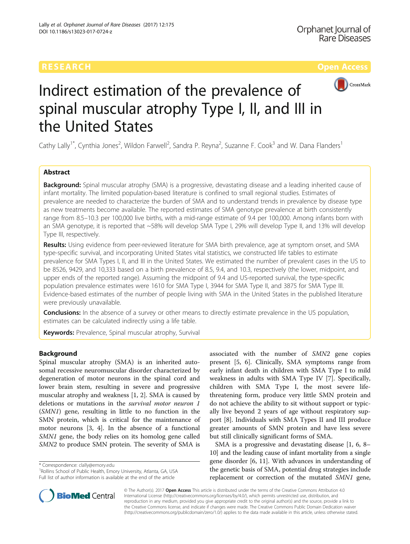

# Indirect estimation of the prevalence of spinal muscular atrophy Type I, II, and III in the United States

Cathy Lally<sup>1\*</sup>, Cynthia Jones<sup>2</sup>, Wildon Farwell<sup>2</sup>, Sandra P. Reyna<sup>2</sup>, Suzanne F. Cook<sup>3</sup> and W. Dana Flanders<sup>1</sup>

# Abstract

**Background:** Spinal muscular atrophy (SMA) is a progressive, devastating disease and a leading inherited cause of infant mortality. The limited population-based literature is confined to small regional studies. Estimates of prevalence are needed to characterize the burden of SMA and to understand trends in prevalence by disease type as new treatments become available. The reported estimates of SMA genotype prevalence at birth consistently range from 8.5–10.3 per 100,000 live births, with a mid-range estimate of 9.4 per 100,000. Among infants born with an SMA genotype, it is reported that ~58% will develop SMA Type I, 29% will develop Type II, and 13% will develop Type III, respectively.

Results: Using evidence from peer-reviewed literature for SMA birth prevalence, age at symptom onset, and SMA type-specific survival, and incorporating United States vital statistics, we constructed life tables to estimate prevalence for SMA Types I, II, and III in the United States. We estimated the number of prevalent cases in the US to be 8526, 9429, and 10,333 based on a birth prevalence of 8.5, 9.4, and 10.3, respectively (the lower, midpoint, and upper ends of the reported range). Assuming the midpoint of 9.4 and US-reported survival, the type-specific population prevalence estimates were 1610 for SMA Type I, 3944 for SMA Type II, and 3875 for SMA Type III. Evidence-based estimates of the number of people living with SMA in the United States in the published literature were previously unavailable.

**Conclusions:** In the absence of a survey or other means to directly estimate prevalence in the US population, estimates can be calculated indirectly using a life table.

Keywords: Prevalence, Spinal muscular atrophy, Survival

# Background

Spinal muscular atrophy (SMA) is an inherited autosomal recessive neuromuscular disorder characterized by degeneration of motor neurons in the spinal cord and lower brain stem, resulting in severe and progressive muscular atrophy and weakness [[1, 2\]](#page-4-0). SMA is caused by deletions or mutations in the survival motor neuron 1 (SMN1) gene, resulting in little to no function in the SMN protein, which is critical for the maintenance of motor neurons [[3, 4](#page-4-0)]. In the absence of a functional SMN1 gene, the body relies on its homolog gene called SMN2 to produce SMN protein. The severity of SMA is

\* Correspondence: [clally@emory.edu](mailto:clally@emory.edu) <sup>1</sup>

<sup>1</sup> Rollins School of Public Health, Emory University, Atlanta, GA, USA Full list of author information is available at the end of the article

associated with the number of SMN2 gene copies present [\[5](#page-4-0), [6\]](#page-4-0). Clinically, SMA symptoms range from early infant death in children with SMA Type I to mild weakness in adults with SMA Type IV [[7\]](#page-4-0). Specifically, children with SMA Type I, the most severe lifethreatening form, produce very little SMN protein and do not achieve the ability to sit without support or typically live beyond 2 years of age without respiratory support [\[8](#page-4-0)]. Individuals with SMA Types II and III produce greater amounts of SMN protein and have less severe but still clinically significant forms of SMA.

SMA is a progressive and devastating disease [\[1](#page-4-0), [6](#page-4-0), [8](#page-4-0)– [10](#page-4-0)] and the leading cause of infant mortality from a single gene disorder [\[6](#page-4-0), [11](#page-4-0)]. With advances in understanding of the genetic basis of SMA, potential drug strategies include replacement or correction of the mutated SMN1 gene,



© The Author(s). 2017 **Open Access** This article is distributed under the terms of the Creative Commons Attribution 4.0 International License [\(http://creativecommons.org/licenses/by/4.0/](http://creativecommons.org/licenses/by/4.0/)), which permits unrestricted use, distribution, and reproduction in any medium, provided you give appropriate credit to the original author(s) and the source, provide a link to the Creative Commons license, and indicate if changes were made. The Creative Commons Public Domain Dedication waiver [\(http://creativecommons.org/publicdomain/zero/1.0/](http://creativecommons.org/publicdomain/zero/1.0/)) applies to the data made available in this article, unless otherwise stated.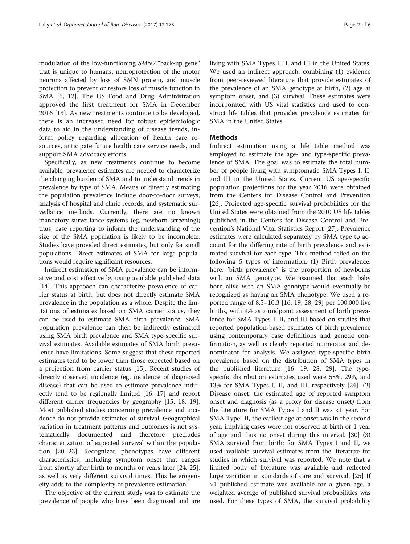modulation of the low-functioning SMN2 "back-up gene" that is unique to humans, neuroprotection of the motor neurons affected by loss of SMN protein, and muscle protection to prevent or restore loss of muscle function in SMA [\[6](#page-4-0), [12](#page-4-0)]. The US Food and Drug Administration approved the first treatment for SMA in December 2016 [[13\]](#page-4-0). As new treatments continue to be developed, there is an increased need for robust epidemiologic data to aid in the understanding of disease trends, inform policy regarding allocation of health care resources, anticipate future health care service needs, and support SMA advocacy efforts.

Specifically, as new treatments continue to become available, prevalence estimates are needed to characterize the changing burden of SMA and to understand trends in prevalence by type of SMA. Means of directly estimating the population prevalence include door-to-door surveys, analysis of hospital and clinic records, and systematic surveillance methods. Currently, there are no known mandatory surveillance systems (eg, newborn screening); thus, case reporting to inform the understanding of the size of the SMA population is likely to be incomplete. Studies have provided direct estimates, but only for small populations. Direct estimates of SMA for large populations would require significant resources.

Indirect estimation of SMA prevalence can be informative and cost effective by using available published data [[14\]](#page-4-0). This approach can characterize prevalence of carrier status at birth, but does not directly estimate SMA prevalence in the population as a whole. Despite the limitations of estimates based on SMA carrier status, they can be used to estimate SMA birth prevalence. SMA population prevalence can then be indirectly estimated using SMA birth prevalence and SMA type-specific survival estimates. Available estimates of SMA birth prevalence have limitations. Some suggest that these reported estimates tend to be lower than those expected based on a projection from carrier status [\[15\]](#page-4-0). Recent studies of directly observed incidence (eg, incidence of diagnosed disease) that can be used to estimate prevalence indirectly tend to be regionally limited [\[16](#page-4-0), [17\]](#page-4-0) and report different carrier frequencies by geography [\[15](#page-4-0), [18, 19](#page-4-0)]. Most published studies concerning prevalence and incidence do not provide estimates of survival. Geographical variation in treatment patterns and outcomes is not systematically documented and therefore precludes characterization of expected survival within the population [[20](#page-4-0)–[23](#page-4-0)]. Recognized phenotypes have different characteristics, including symptom onset that ranges from shortly after birth to months or years later [\[24](#page-5-0), [25](#page-5-0)], as well as very different survival times. This heterogeneity adds to the complexity of prevalence estimation.

The objective of the current study was to estimate the prevalence of people who have been diagnosed and are living with SMA Types I, II, and III in the United States. We used an indirect approach, combining (1) evidence from peer-reviewed literature that provide estimates of the prevalence of an SMA genotype at birth, (2) age at symptom onset, and (3) survival. These estimates were incorporated with US vital statistics and used to construct life tables that provides prevalence estimates for SMA in the United States.

## **Methods**

Indirect estimation using a life table method was employed to estimate the age- and type-specific prevalence of SMA. The goal was to estimate the total number of people living with symptomatic SMA Types I, II, and III in the United States. Current US age-specific population projections for the year 2016 were obtained from the Centers for Disease Control and Prevention [[26\]](#page-5-0). Projected age-specific survival probabilities for the United States were obtained from the 2010 US life tables published in the Centers for Disease Control and Prevention's National Vital Statistics Report [[27](#page-5-0)]. Prevalence estimates were calculated separately by SMA type to account for the differing rate of birth prevalence and estimated survival for each type. This method relied on the following 5 types of information. (1) Birth prevalence: here, "birth prevalence" is the proportion of newborns with an SMA genotype. We assumed that each baby born alive with an SMA genotype would eventually be recognized as having an SMA phenotype. We used a reported range of 8.5–10.3 [\[16](#page-4-0), [19](#page-4-0), [28](#page-5-0), [29](#page-5-0)] per 100,000 live births, with 9.4 as a midpoint assessment of birth prevalence for SMA Types I, II, and III based on studies that reported population-based estimates of birth prevalence using contemporary case definitions and genetic confirmation, as well as clearly reported numerator and denominator for analysis. We assigned type-specific birth prevalence based on the distribution of SMA types in the published literature [\[16](#page-4-0), [19,](#page-4-0) [28](#page-5-0), [29](#page-5-0)]. The typespecific distribution estimates used were 58%, 29%, and 13% for SMA Types I, II, and III, respectively [[24\]](#page-5-0). (2) Disease onset: the estimated age of reported symptom onset and diagnosis (as a proxy for disease onset) from the literature for SMA Types I and II was <1 year. For SMA Type III, the earliest age at onset was in the second year, implying cases were not observed at birth or 1 year of age and thus no onset during this interval. [[30\]](#page-5-0) (3) SMA survival from birth: for SMA Types I and II, we used available survival estimates from the literature for studies in which survival was reported. We note that a limited body of literature was available and reflected large variation in standards of care and survival. [[25](#page-5-0)] If >1 published estimate was available for a given age, a weighted average of published survival probabilities was used. For these types of SMA, the survival probability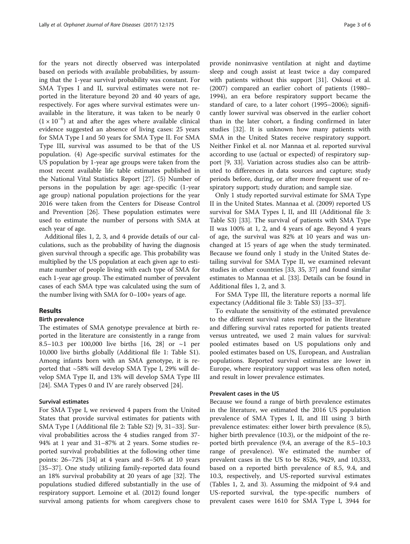for the years not directly observed was interpolated based on periods with available probabilities, by assuming that the 1-year survival probability was constant. For SMA Types I and II, survival estimates were not reported in the literature beyond 20 and 40 years of age, respectively. For ages where survival estimates were unavailable in the literature, it was taken to be nearly 0  $(1 \times 10^{-6})$  at and after the ages where available clinical evidence suggested an absence of living cases: 25 years for SMA Type I and 50 years for SMA Type II. For SMA Type III, survival was assumed to be that of the US population. (4) Age-specific survival estimates for the US population by 1-year age groups were taken from the most recent available life table estimates published in the National Vital Statistics Report [\[27](#page-5-0)]. (5) Number of persons in the population by age: age-specific (1-year age group) national population projections for the year 2016 were taken from the Centers for Disease Control and Prevention [\[26](#page-5-0)]. These population estimates were used to estimate the number of persons with SMA at each year of age.

Additional files [1](#page-4-0), [2](#page-4-0), [3](#page-4-0), and [4](#page-4-0) provide details of our calculations, such as the probability of having the diagnosis given survival through a specific age. This probability was multiplied by the US population at each given age to estimate number of people living with each type of SMA for each 1-year age group. The estimated number of prevalent cases of each SMA type was calculated using the sum of the number living with SMA for 0–100+ years of age.

# Results

#### Birth prevalence

The estimates of SMA genotype prevalence at birth reported in the literature are consistently in a range from 8.5–10.3 per 100,000 live births [[16,](#page-4-0) [28\]](#page-5-0) or ~1 per 10,000 live births globally (Additional file [1](#page-4-0): Table S1). Among infants born with an SMA genotype, it is reported that ~58% will develop SMA Type I, 29% will develop SMA Type II, and 13% will develop SMA Type III [[24\]](#page-5-0). SMA Types 0 and IV are rarely observed [\[24\]](#page-5-0).

#### Survival estimates

For SMA Type I, we reviewed 4 papers from the United States that provide survival estimates for patients with SMA Type I (Additional file [2:](#page-4-0) Table S2) [\[9](#page-4-0), [31](#page-5-0)–[33\]](#page-5-0). Survival probabilities across the 4 studies ranged from 37- 94% at 1 year and 31–87% at 2 years. Some studies reported survival probabilities at the following other time points: 26–72% [[34\]](#page-5-0) at 4 years and 8–50% at 10 years [[35](#page-5-0)–[37](#page-5-0)]. One study utilizing family-reported data found an 18% survival probability at 20 years of age [\[32](#page-5-0)]. The populations studied differed substantially in the use of respiratory support. Lemoine et al. (2012) found longer survival among patients for whom caregivers chose to provide noninvasive ventilation at night and daytime sleep and cough assist at least twice a day compared with patients without this support [[31\]](#page-5-0). Oskoui et al. (2007) compared an earlier cohort of patients (1980– 1994), an era before respiratory support became the standard of care, to a later cohort (1995–2006); significantly lower survival was observed in the earlier cohort than in the later cohort, a finding confirmed in later studies [[32\]](#page-5-0). It is unknown how many patients with SMA in the United States receive respiratory support. Neither Finkel et al. nor Mannaa et al. reported survival according to use (actual or expected) of respiratory support [[9,](#page-4-0) [33\]](#page-5-0). Variation across studies also can be attributed to differences in data sources and capture; study periods before, during, or after more frequent use of respiratory support; study duration; and sample size.

Only 1 study reported survival estimate for SMA Type II in the United States. Mannaa et al. (2009) reported US survival for SMA Types I, II, and III (Additional file [3](#page-4-0): Table S3) [\[33](#page-5-0)]. The survival of patients with SMA Type II was 100% at 1, 2, and 4 years of age. Beyond 4 years of age, the survival was 82% at 10 years and was unchanged at 15 years of age when the study terminated. Because we found only 1 study in the United States detailing survival for SMA Type II, we examined relevant studies in other countries [[33](#page-5-0), [35, 37](#page-5-0)] and found similar estimates to Mannaa et al. [[33\]](#page-5-0). Details can be found in Additional files [1, 2,](#page-4-0) and [3.](#page-4-0)

For SMA Type III, the literature reports a normal life expectancy (Additional file [3](#page-4-0): Table S3) [[33](#page-5-0)–[37](#page-5-0)].

To evaluate the sensitivity of the estimated prevalence to the different survival rates reported in the literature and differing survival rates reported for patients treated versus untreated, we used 2 main values for survival: pooled estimates based on US populations only and pooled estimates based on US, European, and Australian populations. Reported survival estimates are lower in Europe, where respiratory support was less often noted, and result in lower prevalence estimates.

### Prevalent cases in the US

Because we found a range of birth prevalence estimates in the literature, we estimated the 2016 US population prevalence of SMA Types I, II, and III using 3 birth prevalence estimates: either lower birth prevalence (8.5), higher birth prevalence (10.3), or the midpoint of the reported birth prevalence (9.4, an average of the 8.5–10.3 range of prevalence). We estimated the number of prevalent cases in the US to be 8526, 9429, and 10,333, based on a reported birth prevalence of 8.5, 9.4, and 10.3, respectively, and US-reported survival estimates (Tables [1, 2,](#page-3-0) and [3\)](#page-3-0). Assuming the midpoint of 9.4 and US-reported survival, the type-specific numbers of prevalent cases were 1610 for SMA Type I, 3944 for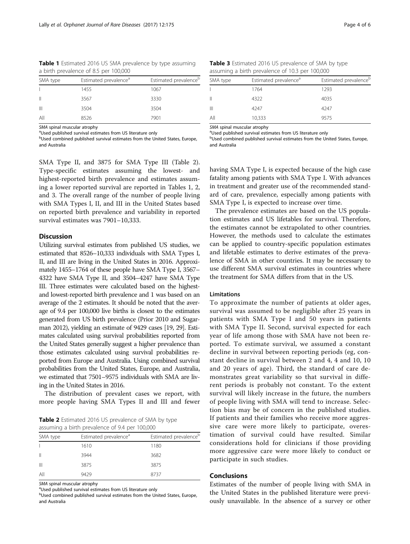SMA type Estimated prevalence<sup>a</sup> Estimated prevalence<sup>E</sup> I 1455 1067  $\blacksquare$  3567 3330 III 3504 3504 All 8526 7901

<span id="page-3-0"></span>Table 1 Estimated 2016 US SMA prevalence by type assuming a birth prevalence of 8.5 per 100,000

SMA spinal muscular atrophy

<sup>a</sup>Used published survival estimates from US literature only

<sup>b</sup>Used combined published survival estimates from the United States, Europe, and Australia

SMA Type II, and 3875 for SMA Type III (Table 2). Type-specific estimates assuming the lowest- and highest-reported birth prevalence and estimates assuming a lower reported survival are reported in Tables 1, 2, and 3. The overall range of the number of people living with SMA Types I, II, and III in the United States based on reported birth prevalence and variability in reported survival estimates was 7901–10,333.

# Discussion

Utilizing survival estimates from published US studies, we estimated that 8526–10,333 individuals with SMA Types I, II, and III are living in the United States in 2016. Approximately 1455–1764 of these people have SMA Type I, 3567– 4322 have SMA Type II, and 3504–4247 have SMA Type III. Three estimates were calculated based on the highestand lowest-reported birth prevalence and 1 was based on an average of the 2 estimates. It should be noted that the average of 9.4 per 100,000 live births is closest to the estimates generated from US birth prevalence (Prior 2010 and Sugarman 2012), yielding an estimate of 9429 cases [[19,](#page-4-0) [29](#page-5-0)]. Estimates calculated using survival probabilities reported from the United States generally suggest a higher prevalence than those estimates calculated using survival probabilities reported from Europe and Australia. Using combined survival probabilities from the United States, Europe, and Australia, we estimated that 7501–9575 individuals with SMA are living in the United States in 2016.

The distribution of prevalent cases we report, with more people having SMA Types II and III and fewer

Table 2 Estimated 2016 US prevalence of SMA by type assuming a birth prevalence of 9.4 per 100,000

| SMA type     | Estimated prevalence <sup>a</sup> | Estimated prevalence <sup>b</sup> |
|--------------|-----------------------------------|-----------------------------------|
|              | 1610                              | 1180                              |
| $\mathbb{I}$ | 3944                              | 3682                              |
| $\mathbb{H}$ | 3875                              | 3875                              |
| All          | 9429                              | 8737                              |

SMA spinal muscular atrophy

<sup>a</sup>Used published survival estimates from US literature only

**b**Used combined published survival estimates from the United States, Europe, and Australia

| <b>Table 3</b> Estimated 2016 US prevalence of SMA by type |
|------------------------------------------------------------|
| assuming a birth prevalence of 10.3 per 100,000            |

| SMA type | Estimated prevalence <sup>a</sup> | Estimated prevalence <sup>b</sup> |
|----------|-----------------------------------|-----------------------------------|
|          | 1764                              | 1293                              |
|          | 4322                              | 4035                              |
| Ш        | 4247                              | 4247                              |
| All      | 10,333                            | 9575                              |

SMA spinal muscular atrophy

<sup>a</sup>Used published survival estimates from US literature only

bUsed combined published survival estimates from the United States, Europe, and Australia

having SMA Type I, is expected because of the high case fatality among patients with SMA Type I. With advances in treatment and greater use of the recommended standard of care, prevalence, especially among patients with SMA Type I, is expected to increase over time.

The prevalence estimates are based on the US population estimates and US lifetables for survival. Therefore, the estimates cannot be extrapolated to other countries. However, the methods used to calculate the estimates can be applied to country-specific population estimates and lifetable estimates to derive estimates of the prevalence of SMA in other countries. It may be necessary to use different SMA survival estimates in countries where the treatment for SMA differs from that in the US.

# Limitations

To approximate the number of patients at older ages, survival was assumed to be negligible after 25 years in patients with SMA Type I and 50 years in patients with SMA Type II. Second, survival expected for each year of life among those with SMA have not been reported. To estimate survival, we assumed a constant decline in survival between reporting periods (eg, constant decline in survival between 2 and 4, 4 and 10, 10 and 20 years of age). Third, the standard of care demonstrates great variability so that survival in different periods is probably not constant. To the extent survival will likely increase in the future, the numbers of people living with SMA will tend to increase. Selection bias may be of concern in the published studies. If patients and their families who receive more aggressive care were more likely to participate, overestimation of survival could have resulted. Similar considerations hold for clinicians if those providing more aggressive care were more likely to conduct or participate in such studies.

# Conclusions

Estimates of the number of people living with SMA in the United States in the published literature were previously unavailable. In the absence of a survey or other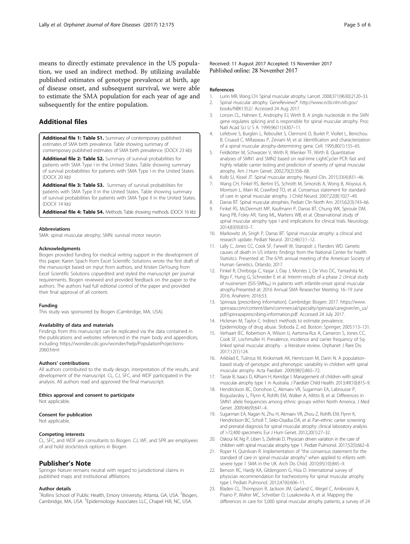<span id="page-4-0"></span>means to directly estimate prevalence in the US population, we used an indirect method. By utilizing available published estimates of genotype prevalence at birth, age of disease onset, and subsequent survival, we were able to estimate the SMA population for each year of age and subsequently for the entire population.

# Additional files

[Additional file 1: Table S1.](dx.doi.org/10.1186/s13023-017-0724-z) Summary of contemporary published estimates of SMA birth prevalence. Table showing summary of contemporary published estimates of SMA birth prevalence. (DOCX 23 kb)

[Additional file 2: Table S2.](dx.doi.org/10.1186/s13023-017-0724-z) Summary of survival probabilities for patients with SMA Type I in the United States. Table showing summary of survival probabilities for patients with SMA Type I in the United States. (DOCX 20 kb)

[Additional file 3: Table S3.](dx.doi.org/10.1186/s13023-017-0724-z) Summary of survival probabilities for patients with SMA Type II in the United States. Table showing summary of survival probabilities for patients with SMA Type II in the United States. (DOCX 14 kb)

[Additional file 4: Table S4.](dx.doi.org/10.1186/s13023-017-0724-z) Methods. Table showing methods. (DOCX 16 kb)

#### Abbreviations

SMA: spinal muscular atrophy; SMN: survival motor neuron

#### **Acknowledaments**

Biogen provided funding for medical writing support in the development of this paper; Karen Spach from Excel Scientific Solutions wrote the first draft of the manuscript based on input from authors, and Kristen DeYoung from Excel Scientific Solutions copyedited and styled the manuscript per journal requirements. Biogen reviewed and provided feedback on the paper to the authors. The authors had full editorial control of the paper and provided their final approval of all content.

#### Funding

This study was sponsored by Biogen (Cambridge, MA, USA).

#### Availability of data and materials

Findings from this manuscript can be replicated via the data contained in the publications and websites referenced in the main body and appendices, including [https://wonder.cdc.gov/wonder/help/PopulationProjections-](https://wonder.cdc.gov/wonder/help/PopulationProjections-2060.html)[2060.html](https://wonder.cdc.gov/wonder/help/PopulationProjections-2060.html)

#### Authors' contributions

All authors contributed to the study design, interpretation of the results, and development of the manuscript. CL, CJ, SFC, and WDF participated in the analysis. All authors read and approved the final manuscript.

#### Ethics approval and consent to participate

Not applicable.

#### Consent for publication

Not applicable.

#### Competing interests

CL, SFC, and WDF are consultants to Biogen. CJ, WF, and SPR are employees of and hold stock/stock options in Biogen.

#### Publisher's Note

Springer Nature remains neutral with regard to jurisdictional claims in published maps and institutional affiliations.

#### Author details

<sup>1</sup> Rollins School of Public Health, Emory University, Atlanta, GA, USA. <sup>2</sup> Biogen, Cambridge, MA, USA. <sup>3</sup>Epidemiology Associates LLC, Chapel Hill, NC, USA.

Received: 11 August 2017 Accepted: 15 November 2017 Published online: 28 November 2017

#### References

- 1. Lunn MR, Wang CH. Spinal muscular atrophy. Lancet. 2008;371(9630):2120–33. 2. Spinal muscular atrophy. GeneReviews®. [http://www.ncbi.nlm.nih.gov/](http://www.ncbi.nlm.nih.gov/books/NBK1352)
- [books/NBK1352/.](http://www.ncbi.nlm.nih.gov/books/NBK1352) Accessed 24 Aug 2017. 3. Lorson CL, Hahnen E, Androphy EJ, Wirth B. A single nucleotide in the SMN gene regulates splicing and is responsible for spinal muscular atrophy. Proc Natl Acad Sci U S A. 1999;96(11):6307–11.
- 4. Lefebvre S, Burglen L, Reboullet S, Clermont O, Burlet P, Viollet L, Benichou B, Cruaud C, Millasseau P, Zeviani M, et al. Identification and characterization of a spinal muscular atrophy-determining gene. Cell. 1995;80(1):155–65.
- 5. Feldkötter M, Schwarzer V, Wirth R, Wienker TF, Wirth B. Quantitative analyses of SMN1 and SMN2 based on real-time LightCycler PCR: fast and highly reliable carrier testing and prediction of severity of spinal muscular atrophy. Am J Hum Genet. 2002;70(2):358–68.
- 6. Kolb SJ, Kissel JT. Spinal muscular atrophy. Neurol Clin. 2015;33(4):831–46.
- 7. Wang CH, Finkel RS, Bertini ES, Schroth M, Simonds A, Wong B, Aloysius A, Morrison L, Main M, Crawford TO, et al. Consensus statement for standard of care in spinal muscular atrophy. J Child Neurol. 2007;22(8):1027–49.
- 8. Darras BT. Spinal muscular atrophies. Pediatr Clin North Am. 2015;62(3):743–66.
- 9. Finkel RS, McDermott MP, Kaufmann P, Darras BT, Chung WK, Sproule DM, Kang PB, Foley AR, Yang ML, Martens WB, et al. Observational study of spinal muscular atrophy type I and implications for clinical trials. Neurology. 2014;83(9):810–7.
- 10. Markowitz JA, Singh P, Darras BT. Spinal muscular atrophy: a clinical and research update. Pediatr Neurol. 2012;46(1):1–12.
- 11. Lally C, Jones CC, Cook SF, Farwell W, Staropoli J, Flanders WD. Genetic causes of death in US infants: findings from the National Center for health Statisitcs. Presented at: The 67th annual meeting of the American Society of Human Genetics. Orlando; 2017.
- 12. Finkel R, Chiriboga C, Vasjar J, Day J, Montes J, De Vivo DC, Yamashita M, Rigo F, Hung G, Schneider E et al. Interim results of a phase 2 clinical study of nusinersen (ISIS-SMN<sub>Rx</sub>) in patients with infantile-onset spinal muscular atrophy.Presented at: 2016 Annual SMA Researcher Meeting: 16–19 June 2016; Anaheim; 2016:53.
- 13. Spinraza [prescribing Information]. Cambridge: Biogen; 2017. [https://www.](https://www.spinraza.com/content/dam/commercial/specialty/spinraza/caregiver/en_us/pdf/spinrazaprescribing-information.pdf) [spinraza.com/content/dam/commercial/specialty/spinraza/caregiver/en\\_us/](https://www.spinraza.com/content/dam/commercial/specialty/spinraza/caregiver/en_us/pdf/spinrazaprescribing-information.pdf) [pdf/spinrazaprescribing-information.pdf](https://www.spinraza.com/content/dam/commercial/specialty/spinraza/caregiver/en_us/pdf/spinrazaprescribing-information.pdf). Accessed 24 July 2017.
- 14. Hickman M, Taylor C: Indirect methods to estimate prevalence. Epidemiology of drug abuse. Sloboda Z, ed. Boston: Springer; 2005:113–131.
- 15. Verhaart IEC, Robertson A, Wilson IJ, Aartsma-Rus A, Cameron S, Jones CC, Cook SF, Lochmuller H. Prevalence, incidence and carrier frequency of 5qlinked spinal muscular atrophy - a literature review. Orphanet J Rare Dis. 2017;12(1):124.
- 16. Arkblad E, Tulinius M, Kroksmark AK, Henricsson M, Darin N. A populationbased study of genotypic and phenotypic variability in children with spinal muscular atrophy. Acta Paediatr. 2009;98(5):865–72.
- 17. Tassie B, Isaacs D, Kilham H, Kerridge I. Management of children with spinal muscular atrophy type 1 in Australia. J Paediatr Child Health. 2013;49(10):815–9.
- 18. Hendrickson BC, Donohoe C, Akmaev VR, Sugarman EA, Labrousse P, Boguslavskiy L, Flynn K, Rohlfs EM, Walker A, Allitto B, et al. Differences in SMN1 allele frequencies among ethnic groups within North America. J Med Genet. 2009;46(9):641–4.
- 19. Sugarman EA, Nagan N, Zhu H, Akmaev VR, Zhou Z, Rohlfs EM, Flynn K, Hendrickson BC, Scholl T, Sirko-Osadsa DA, et al. Pan-ethnic carrier screening and prenatal diagnosis for spinal muscular atrophy: clinical laboratory analysis of >72,400 specimens. Eur J Hum Genet. 2012;20(1):27–32.
- 20. Oskoui M, Ng P, Liben S, Zielinski D. Physician driven variation in the care of children with spinal muscular atrophy type 1. Pediatr Pulmonol. 2017;52(5):662–8.
- 21. Roper H, Quinlivan R. Implementation of "the consensus statement for the standard of care in spinal muscular atrophy" when applied to infants with severe type 1 SMA in the UK. Arch Dis Child. 2010;95(10):845–9.
- 22. Benson RC, Hardy KA, Gildengorin G, Hsia D. International survey of physician recommendation for tracheostomy for spinal muscular atrophy type I. Pediatr Pulmonol. 2012;47(6):606–11.
- 23. Bladen CL, Thompson R, Jackson JM, Garland C, Wegel C, Ambrosini A, Pisano P, Walter MC, Schreiber O, Lusakowska A, et al. Mapping the differences in care for 5,000 spinal muscular atrophy patients, a survey of 24